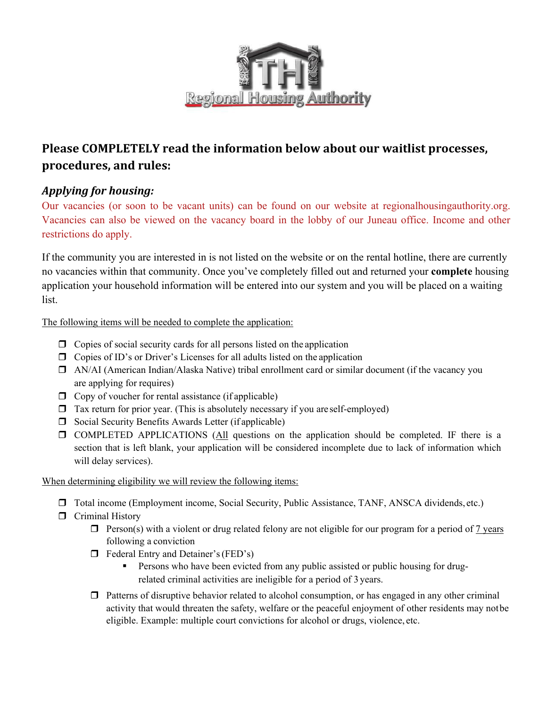

# **Please COMPLETELY read the information below about our waitlist processes, procedures, and rules:**

### *Applying for housing:*

Our vacancies (or soon to be vacant units) can be found on our website at regionalhousingauthority.org. Vacancies can also be viewed on the vacancy board in the lobby of our Juneau office. Income and other restrictions do apply.

If the community you are interested in is not listed on the website or on the rental hotline, there are currently no vacancies within that community. Once you've completely filled out and returned your **complete** housing application your household information will be entered into our system and you will be placed on a waiting list.

The following items will be needed to complete the application:

- $\Box$  Copies of social security cards for all persons listed on the application
- $\Box$  Copies of ID's or Driver's Licenses for all adults listed on the application
- AN/AI (American Indian/Alaska Native) tribal enrollment card or similar document (if the vacancy you are applying for requires)
- $\Box$  Copy of voucher for rental assistance (if applicable)
- $\Box$  Tax return for prior year. (This is absolutely necessary if you are self-employed)
- $\Box$  Social Security Benefits Awards Letter (if applicable)
- COMPLETED APPLICATIONS (All questions on the application should be completed. IF there is a section that is left blank, your application will be considered incomplete due to lack of information which will delay services).

When determining eligibility we will review the following items:

- Total income (Employment income, Social Security, Public Assistance, TANF, ANSCA dividends, etc.)
- **T** Criminal History
	- $\Box$  Person(s) with a violent or drug related felony are not eligible for our program for a period of 7 years following a conviction
	- $\Box$  Federal Entry and Detainer's (FED's)
		- Persons who have been evicted from any public assisted or public housing for drugrelated criminal activities are ineligible for a period of 3 years.
	- $\Box$  Patterns of disruptive behavior related to alcohol consumption, or has engaged in any other criminal activity that would threaten the safety, welfare or the peaceful enjoyment of other residents may not be eligible. Example: multiple court convictions for alcohol or drugs, violence, etc.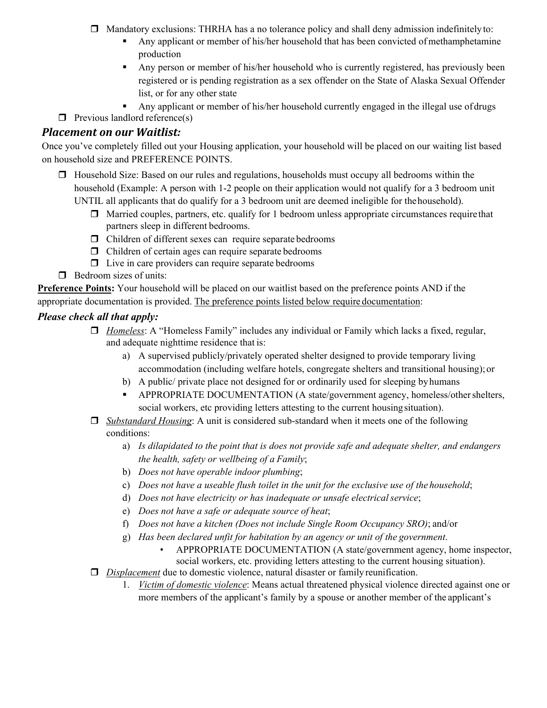- $\Box$  Mandatory exclusions: THRHA has a no tolerance policy and shall deny admission indefinitely to:
	- Any applicant or member of his/her household that has been convicted of methamphetamine production
	- Any person or member of his/her household who is currently registered, has previously been registered or is pending registration as a sex offender on the State of Alaska Sexual Offender list, or for any other state
	- Any applicant or member of his/her household currently engaged in the illegal use of drugs
- $\Box$  Previous landlord reference(s)

### *Placement on our Waitlist:*

Once you've completely filled out your Housing application, your household will be placed on our waiting list based on household size and PREFERENCE POINTS.

- $\Box$  Household Size: Based on our rules and regulations, households must occupy all bedrooms within the household (Example: A person with 1-2 people on their application would not qualify for a 3 bedroom unit UNTIL all applicants that do qualify for a 3 bedroom unit are deemed ineligible for the household).
	- $\Box$  Married couples, partners, etc. qualify for 1 bedroom unless appropriate circumstances require that
		- partners sleep in different bedrooms.
	- $\Box$  Children of different sexes can require separate bedrooms
	- $\Box$  Children of certain ages can require separate bedrooms
	- $\Box$  Live in care providers can require separate bedrooms
- $\Box$  Bedroom sizes of units:

**Preference Points:** Your household will be placed on our waitlist based on the preference points AND if the appropriate documentation is provided. The preference points listed below require documentation:

### *Please check all that apply:*

- *Homeless*: A "Homeless Family" includes any individual or Family which lacks a fixed, regular, and adequate nighttime residence that is:
	- a) A supervised publicly/privately operated shelter designed to provide temporary living accommodation (including welfare hotels, congregate shelters and transitional housing); or
	- b) A public/ private place not designed for or ordinarily used for sleeping by humans
	- APPROPRIATE DOCUMENTATION (A state/government agency, homeless/other shelters, social workers, etc providing letters attesting to the current housing situation).
- *Substandard Housing*: A unit is considered sub-standard when it meets one of the following conditions:
	- a) *Is dilapidated to the point that is does not provide safe and adequate shelter, and endangers the health, safety or wellbeing of a Family*;
	- b) *Does not have operable indoor plumbing*;
	- c) *Does not have a useable flush toilet in the unit for the exclusive use of the household*;
	- d) *Does not have electricity or has inadequate or unsafe electrical service*;
	- e) *Does not have a safe or adequate source of heat*;
	- f) *Does not have a kitchen (Does not include Single Room Occupancy SRO)*; and/or
	- g) *Has been declared unfit for habitation by an agency or unit of the government*.
		- APPROPRIATE DOCUMENTATION (A state/government agency, home inspector, social workers, etc. providing letters attesting to the current housing situation).
- *Displacement* due to domestic violence, natural disaster or family reunification.
	- 1. *Victim of domestic violence*: Means actual threatened physical violence directed against one or more members of the applicant's family by a spouse or another member of the applicant's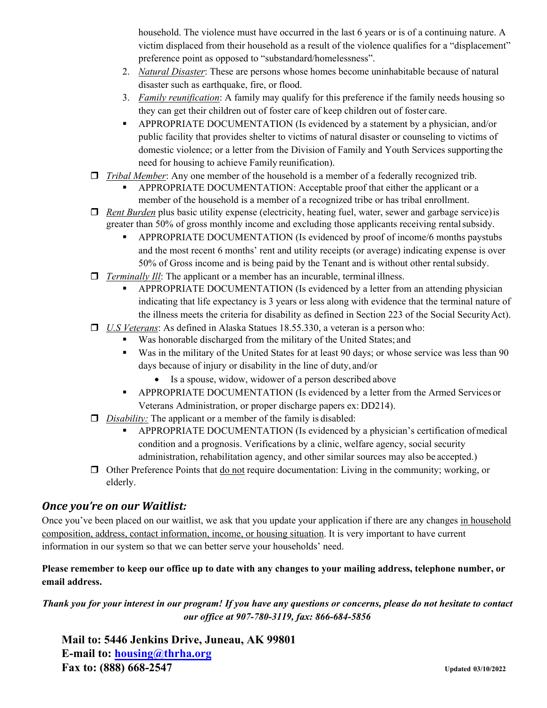household. The violence must have occurred in the last 6 years or is of a continuing nature. A victim displaced from their household as a result of the violence qualifies for a "displacement" preference point as opposed to "substandard/homelessness".

- 2. *Natural Disaster*: These are persons whose homes become uninhabitable because of natural disaster such as earthquake, fire, or flood.
- 3. *Family reunification*: A family may qualify for this preference if the family needs housing so they can get their children out of foster care of keep children out of foster care.
- APPROPRIATE DOCUMENTATION (Is evidenced by a statement by a physician, and/or public facility that provides shelter to victims of natural disaster or counseling to victims of domestic violence; or a letter from the Division of Family and Youth Services supporting the need for housing to achieve Family reunification).
- *Tribal Member*: Any one member of the household is a member of a federally recognized trib.
	- APPROPRIATE DOCUMENTATION: Acceptable proof that either the applicant or a member of the household is a member of a recognized tribe or has tribal enrollment.
- □ *Rent Burden* plus basic utility expense (electricity, heating fuel, water, sewer and garbage service) is greater than 50% of gross monthly income and excluding those applicants receiving rental subsidy.
	- APPROPRIATE DOCUMENTATION (Is evidenced by proof of income/6 months paystubs and the most recent 6 months' rent and utility receipts (or average) indicating expense is over 50% of Gross income and is being paid by the Tenant and is without other rental subsidy.
- *Terminally Ill:* The applicant or a member has an incurable, terminal illness.
	- APPROPRIATE DOCUMENTATION (Is evidenced by a letter from an attending physician indicating that life expectancy is 3 years or less along with evidence that the terminal nature of the illness meets the criteria for disability as defined in Section 223 of the Social Security Act).
- *U.S Veterans*: As defined in Alaska Statues 18.55.330, a veteran is a person who:
	- Was honorable discharged from the military of the United States; and
	- Was in the military of the United States for at least 90 days; or whose service was less than 90 days because of injury or disability in the line of duty, and/or
		- Is a spouse, widow, widower of a person described above
	- APPROPRIATE DOCUMENTATION (Is evidenced by a letter from the Armed Services or Veterans Administration, or proper discharge papers ex: DD214).
- *Disability:* The applicant or a member of the family is disabled:
	- APPROPRIATE DOCUMENTATION (Is evidenced by a physician's certification of medical condition and a prognosis. Verifications by a clinic, welfare agency, social security administration, rehabilitation agency, and other similar sources may also be accepted.)
- $\Box$  Other Preference Points that do not require documentation: Living in the community; working, or elderly.

#### *Once you're on our Waitlist:*

Once you've been placed on our waitlist, we ask that you update your application if there are any changes in household composition, address, contact information, income, or housing situation. It is very important to have current information in our system so that we can better serve your households' need.

#### **Please remember to keep our office up to date with any changes to your mailing address, telephone number, or email address.**

*Thank you for your interest in our program! If you have any questions or concerns, please do not hesitate to contact our office at 907-780-3119, fax: 866-684-5856* 

**Mail to: 5446 Jenkins Drive, Juneau, AK 99801 E-mail to: housing@thrha.org Fax to: (888) 668-2547 Updated 03/10/2022**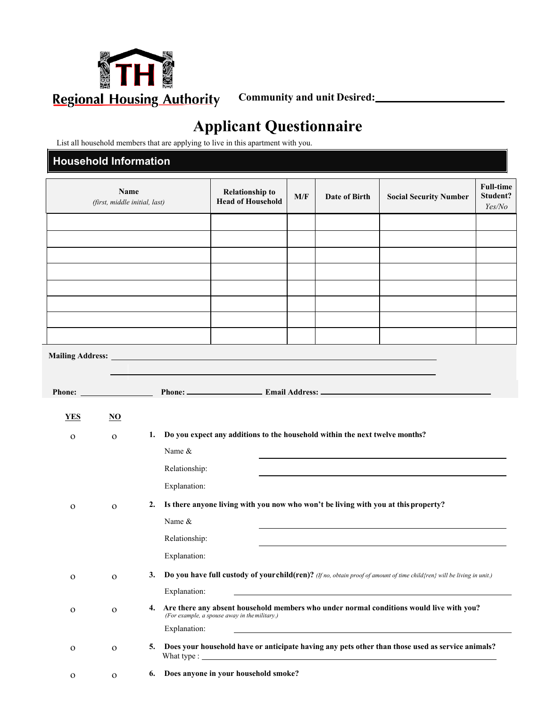

# **Applicant Questionnaire**

List all household members that are applying to live in this apartment with you.

### **Household Information**

|               | Name<br>(first, middle initial, last) | <b>Relationship to</b><br><b>Head of Household</b> | M/F                                                                                                                                                                                                                                  | Date of Birth | <b>Social Security Number</b> | <b>Full-time</b><br>Student?<br>Yes/No                                                                                     |  |
|---------------|---------------------------------------|----------------------------------------------------|--------------------------------------------------------------------------------------------------------------------------------------------------------------------------------------------------------------------------------------|---------------|-------------------------------|----------------------------------------------------------------------------------------------------------------------------|--|
|               |                                       |                                                    |                                                                                                                                                                                                                                      |               |                               |                                                                                                                            |  |
|               |                                       |                                                    |                                                                                                                                                                                                                                      |               |                               |                                                                                                                            |  |
|               |                                       |                                                    |                                                                                                                                                                                                                                      |               |                               |                                                                                                                            |  |
|               |                                       |                                                    |                                                                                                                                                                                                                                      |               |                               |                                                                                                                            |  |
|               |                                       |                                                    |                                                                                                                                                                                                                                      |               |                               |                                                                                                                            |  |
|               |                                       |                                                    |                                                                                                                                                                                                                                      |               |                               |                                                                                                                            |  |
|               |                                       |                                                    |                                                                                                                                                                                                                                      |               |                               |                                                                                                                            |  |
|               |                                       |                                                    |                                                                                                                                                                                                                                      |               |                               |                                                                                                                            |  |
|               |                                       |                                                    | Mailing Address: <u>New York: William School and School and School and School and School and School and School and School and School and School and School and School and School and School and School and School and School and</u> |               |                               |                                                                                                                            |  |
|               |                                       |                                                    |                                                                                                                                                                                                                                      |               |                               |                                                                                                                            |  |
| <b>Phone:</b> |                                       |                                                    |                                                                                                                                                                                                                                      |               |                               |                                                                                                                            |  |
| <b>YES</b>    | $\underline{\mathrm{NO}}$             |                                                    |                                                                                                                                                                                                                                      |               |                               |                                                                                                                            |  |
|               |                                       | 1.                                                 | Do you expect any additions to the household within the next twelve months?                                                                                                                                                          |               |                               |                                                                                                                            |  |
| $\mathbf O$   | $\mathbf{O}$                          | Name &                                             |                                                                                                                                                                                                                                      |               |                               |                                                                                                                            |  |
|               |                                       | Relationship:                                      |                                                                                                                                                                                                                                      |               |                               |                                                                                                                            |  |
|               |                                       | Explanation:                                       |                                                                                                                                                                                                                                      |               |                               |                                                                                                                            |  |
|               |                                       |                                                    |                                                                                                                                                                                                                                      |               |                               |                                                                                                                            |  |
| $\mathbf O$   | $\Omega$                              | 2.                                                 | Is there anyone living with you now who won't be living with you at this property?                                                                                                                                                   |               |                               |                                                                                                                            |  |
|               |                                       | Name &                                             |                                                                                                                                                                                                                                      |               |                               |                                                                                                                            |  |
|               |                                       | Relationship:                                      |                                                                                                                                                                                                                                      |               |                               |                                                                                                                            |  |
|               |                                       | Explanation:                                       |                                                                                                                                                                                                                                      |               |                               |                                                                                                                            |  |
| $\mathbf O$   | $\mathbf O$                           |                                                    |                                                                                                                                                                                                                                      |               |                               | 3. Do you have full custody of your child(ren)? (If no, obtain proof of amount of time child{ren} will be living in unit.) |  |
|               |                                       | Explanation:                                       |                                                                                                                                                                                                                                      |               |                               |                                                                                                                            |  |
| ${\cal O}$    | $\mathbf{O}$                          | 4.                                                 | (For example, a spouse away in the military.)                                                                                                                                                                                        |               |                               | Are there any absent household members who under normal conditions would live with you?                                    |  |
|               |                                       | Explanation:                                       |                                                                                                                                                                                                                                      |               |                               |                                                                                                                            |  |
| $\mathbf{O}$  | $\mathbf O$                           | 5.                                                 |                                                                                                                                                                                                                                      |               |                               | Does your household have or anticipate having any pets other than those used as service animals?                           |  |
| $\mathbf{O}$  | $\mathbf O$                           | 6.                                                 | Does anyone in your household smoke?                                                                                                                                                                                                 |               |                               |                                                                                                                            |  |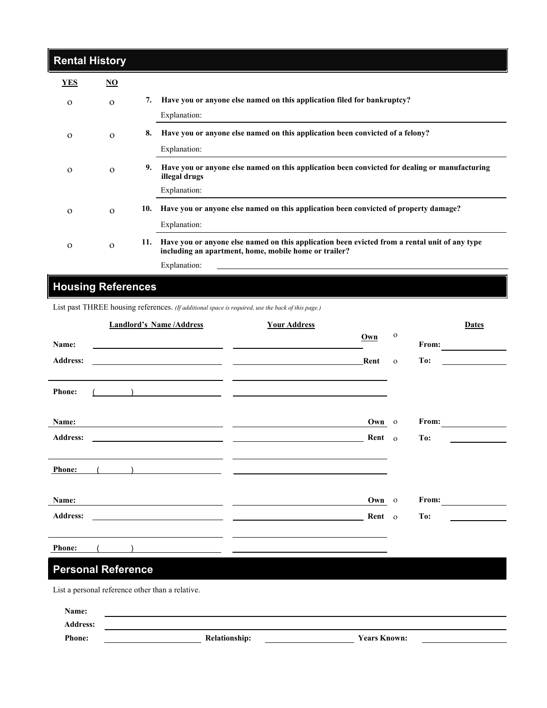| <b>Rental History</b> |          |     |                                                                                                                                                        |
|-----------------------|----------|-----|--------------------------------------------------------------------------------------------------------------------------------------------------------|
| <b>YES</b>            | NO.      |     |                                                                                                                                                        |
| $\Omega$              | $\Omega$ | 7.  | Have you or anyone else named on this application filed for bankruptcy?                                                                                |
|                       |          |     | Explanation:                                                                                                                                           |
| $\Omega$              | $\Omega$ | 8.  | Have you or anyone else named on this application been convicted of a felony?                                                                          |
|                       |          |     | Explanation:                                                                                                                                           |
| $\Omega$              | $\Omega$ | 9.  | Have you or anyone else named on this application been convicted for dealing or manufacturing<br>illegal drugs                                         |
|                       |          |     | Explanation:                                                                                                                                           |
| $\Omega$              | $\Omega$ | 10. | Have you or anyone else named on this application been convicted of property damage?                                                                   |
|                       |          |     | Explanation:                                                                                                                                           |
| $\Omega$              | $\Omega$ | 11. | Have you or anyone else named on this application been evicted from a rental unit of any type<br>including an apartment, home, mobile home or trailer? |
|                       |          |     | Explanation:                                                                                                                                           |

# **Housing References**

I

List past THREE housing references. *(If additional space is required, use the back of this page.)* 

|                 | <b>Landlord's Name/Address</b>                                                                                        | <b>Your Address</b>                                                             |        |              | <b>Dates</b> |
|-----------------|-----------------------------------------------------------------------------------------------------------------------|---------------------------------------------------------------------------------|--------|--------------|--------------|
| Name:           | <u> 1989 - Johann Barbara, martin amerikan basar dan berasal dalam basar dalam basar dalam basar dalam basar dala</u> | Own                                                                             |        | $\mathbf{o}$ | From:        |
| <b>Address:</b> | <u> 1980 - Andrea Andrew Maria (h. 1980).</u><br>1901 - Andrew Maria (h. 1902).                                       | Rent                                                                            |        | $\mathbf{o}$ | To:          |
| <b>Phone:</b>   | the contract of the contract of the contract of the contract of the contract of                                       | ) and the contract of the contract of $\overline{\phantom{a}}$                  |        |              |              |
|                 |                                                                                                                       |                                                                                 |        |              |              |
| Name:           | the contract of the contract of the contract of the contract of                                                       | the contract of the contract of the contract of the contract of the contract of | Own o  |              | From:        |
| <b>Address:</b> | <u> 1989 - Andrea Aonaichte, ann an Cathracha ann an Comhair ann an Comhair ann an Comhair ann an C</u>               |                                                                                 | Rent o |              | To:          |
|                 |                                                                                                                       |                                                                                 |        |              |              |
| Phone:          |                                                                                                                       |                                                                                 |        |              |              |
|                 |                                                                                                                       |                                                                                 |        |              |              |
| Name:           |                                                                                                                       |                                                                                 | Own o  |              | From:        |
| <b>Address:</b> |                                                                                                                       |                                                                                 | Rent o |              | To:          |
|                 |                                                                                                                       |                                                                                 |        |              |              |
| <b>Phone:</b>   |                                                                                                                       |                                                                                 |        |              |              |

## **Personal Reference**

List a personal reference other than a relative.

| Name:           |                      |                     |  |
|-----------------|----------------------|---------------------|--|
| <b>Address:</b> |                      |                     |  |
| <b>Phone:</b>   | <b>Relationship:</b> | <b>Years Known:</b> |  |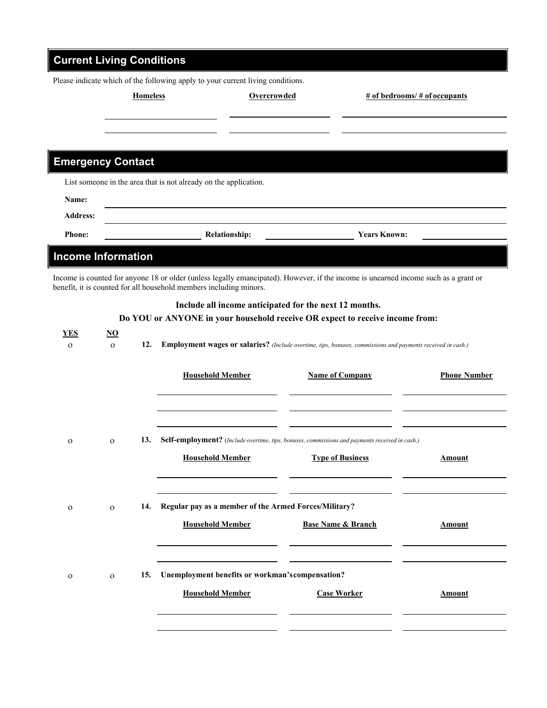| <b>Current Living Conditions</b> |              |                 |                                                                                 |                                                                                                                                        |                               |                                   |
|----------------------------------|--------------|-----------------|---------------------------------------------------------------------------------|----------------------------------------------------------------------------------------------------------------------------------------|-------------------------------|-----------------------------------|
|                                  |              |                 | Please indicate which of the following apply to your current living conditions. |                                                                                                                                        |                               |                                   |
|                                  |              | <b>Homeless</b> |                                                                                 | <b>Overcrowded</b>                                                                                                                     |                               | $# of$ bedrooms/ $# of$ occupants |
|                                  |              |                 |                                                                                 |                                                                                                                                        |                               |                                   |
|                                  |              |                 |                                                                                 |                                                                                                                                        |                               |                                   |
|                                  |              |                 |                                                                                 |                                                                                                                                        |                               |                                   |
| <b>Emergency Contact</b>         |              |                 |                                                                                 |                                                                                                                                        |                               |                                   |
|                                  |              |                 | List someone in the area that is not already on the application.                |                                                                                                                                        |                               |                                   |
| Name:                            |              |                 |                                                                                 |                                                                                                                                        |                               |                                   |
| <b>Address:</b>                  |              |                 |                                                                                 |                                                                                                                                        |                               |                                   |
| <b>Phone:</b>                    |              |                 | <b>Relationship:</b>                                                            |                                                                                                                                        | <b>Years Known:</b>           |                                   |
| <b>Income Information</b>        |              |                 |                                                                                 |                                                                                                                                        |                               |                                   |
|                                  |              |                 |                                                                                 | Income is counted for anyone 18 or older (unless legally emancipated). However, if the income is unearned income such as a grant or    |                               |                                   |
|                                  |              |                 | benefit, it is counted for all household members including minors.              |                                                                                                                                        |                               |                                   |
|                                  |              |                 |                                                                                 | Include all income anticipated for the next 12 months.<br>Do YOU or ANYONE in your household receive OR expect to receive income from: |                               |                                   |
| <b>YES</b>                       | <u>NO</u>    |                 |                                                                                 |                                                                                                                                        |                               |                                   |
| $\mathbf{O}$                     | $\Omega$     | 12.             |                                                                                 | Employment wages or salaries? (Include overtime, tips, bonuses, commissions and payments received in cash.)                            |                               |                                   |
|                                  |              |                 |                                                                                 |                                                                                                                                        |                               |                                   |
|                                  |              |                 | <b>Household Member</b>                                                         |                                                                                                                                        | <b>Name of Company</b>        | <b>Phone Number</b>               |
|                                  |              |                 |                                                                                 |                                                                                                                                        |                               |                                   |
|                                  |              |                 |                                                                                 |                                                                                                                                        |                               |                                   |
| $\Omega$                         | $\Omega$     | 13.             |                                                                                 | <b>Self-employment?</b> (Include overtime, tips, bonuses, commissions and payments received in cash.)                                  |                               |                                   |
|                                  |              |                 | <b>Household Member</b>                                                         |                                                                                                                                        | <b>Type of Business</b>       | <b>Amount</b>                     |
|                                  |              |                 |                                                                                 |                                                                                                                                        |                               |                                   |
|                                  |              |                 |                                                                                 |                                                                                                                                        |                               |                                   |
| $\mathbf O$                      | $\mathbf{O}$ | 14.             |                                                                                 | Regular pay as a member of the Armed Forces/Military?                                                                                  |                               |                                   |
|                                  |              |                 | <b>Household Member</b>                                                         |                                                                                                                                        | <b>Base Name &amp; Branch</b> | <b>Amount</b>                     |
|                                  |              |                 |                                                                                 |                                                                                                                                        |                               |                                   |
|                                  |              |                 |                                                                                 |                                                                                                                                        |                               |                                   |
| $\mathbf O$                      | $\mathbf{O}$ | 15.             |                                                                                 | Unemployment benefits or workman's compensation?                                                                                       |                               |                                   |
|                                  |              |                 | <b>Household Member</b>                                                         |                                                                                                                                        | <b>Case Worker</b>            | <b>Amount</b>                     |
|                                  |              |                 |                                                                                 |                                                                                                                                        |                               |                                   |
|                                  |              |                 |                                                                                 |                                                                                                                                        |                               |                                   |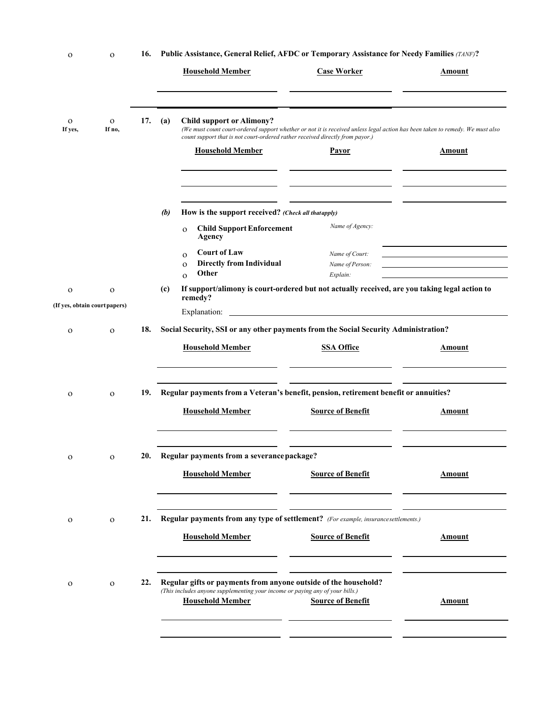| $\mathbf O$                                  | $\Omega$               | 16. | Public Assistance, General Relief, AFDC or Temporary Assistance for Needy Families (TANF)?<br><b>Household Member</b>                                                       | <b>Case Worker</b>                                                                                                                            | Amount        |
|----------------------------------------------|------------------------|-----|-----------------------------------------------------------------------------------------------------------------------------------------------------------------------------|-----------------------------------------------------------------------------------------------------------------------------------------------|---------------|
| $\mathbf{O}$<br>If yes,                      | $\mathbf{O}$<br>If no, | 17. | <b>Child support or Alimony?</b><br>(a)<br>count support that is not court-ordered rather received directly from payor.)<br><b>Household Member</b>                         | (We must count court-ordered support whether or not it is received unless legal action has been taken to remedy. We must also<br><b>Payor</b> | <b>Amount</b> |
|                                              |                        |     | How is the support received? (Check all thatapply)<br>(b)<br><b>Child Support Enforcement</b><br>$\Omega$<br>Agency                                                         | Name of Agency:                                                                                                                               |               |
|                                              |                        |     | <b>Court of Law</b><br>$\Omega$<br><b>Directly from Individual</b><br>$\mathbf O$<br><b>Other</b><br>$\Omega$                                                               | Name of Court:<br>Name of Person:<br>Explain:                                                                                                 |               |
| $\mathbf O$<br>(If yes, obtain court papers) | $\mathbf{O}$           |     | (c)<br>remedy?                                                                                                                                                              | If support/alimony is court-ordered but not actually received, are you taking legal action to                                                 |               |
|                                              |                        |     |                                                                                                                                                                             |                                                                                                                                               |               |
| $\mathbf O$                                  | $\Omega$               | 18. | Social Security, SSI or any other payments from the Social Security Administration?<br><b>Household Member</b>                                                              | <b>SSA Office</b>                                                                                                                             | Amount        |
| $\Omega$                                     | $\Omega$               | 19. | Regular payments from a Veteran's benefit, pension, retirement benefit or annuities?<br><b>Household Member</b>                                                             | <b>Source of Benefit</b>                                                                                                                      | Amount        |
| $\mathbf{o}$                                 | $\mathbf O$            | 20. | Regular payments from a severance package?<br><b>Household Member</b>                                                                                                       | <b>Source of Benefit</b>                                                                                                                      | <b>Amount</b> |
| $\mathbf{o}$                                 | $\mathbf{O}$           | 21. | Regular payments from any type of settlement? (For example, insurance settlements.)<br><b>Household Member</b>                                                              | <b>Source of Benefit</b>                                                                                                                      | <b>Amount</b> |
| $\mathbf{o}$                                 | $\mathbf{O}$           | 22. | Regular gifts or payments from anyone outside of the household?<br>(This includes anyone supplementing your income or paying any of your bills.)<br><b>Household Member</b> | <b>Source of Benefit</b>                                                                                                                      | <b>Amount</b> |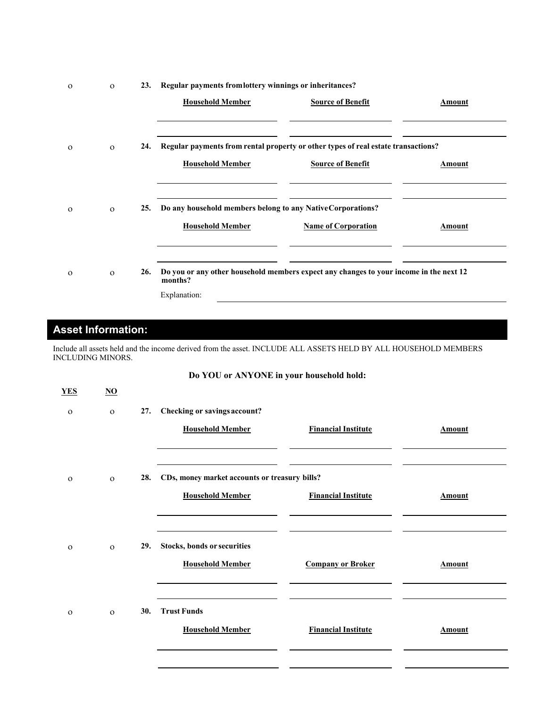| $\Omega$ | $\Omega$ | 23. | Regular payments from lottery winnings or inheritances?     |                                                                                        |        |
|----------|----------|-----|-------------------------------------------------------------|----------------------------------------------------------------------------------------|--------|
|          |          |     | <b>Household Member</b>                                     | <b>Source of Benefit</b>                                                               | Amount |
|          |          |     |                                                             |                                                                                        |        |
| $\Omega$ | $\Omega$ | 24. |                                                             | Regular payments from rental property or other types of real estate transactions?      |        |
|          |          |     | <b>Household Member</b>                                     | <b>Source of Benefit</b>                                                               | Amount |
|          |          |     |                                                             |                                                                                        |        |
| $\Omega$ | $\Omega$ | 25. | Do any household members belong to any Native Corporations? |                                                                                        |        |
|          |          |     |                                                             |                                                                                        |        |
|          |          |     | <b>Household Member</b>                                     | <b>Name of Corporation</b>                                                             | Amount |
|          |          |     |                                                             |                                                                                        |        |
| $\Omega$ | $\Omega$ | 26. | months?                                                     | Do you or any other household members expect any changes to your income in the next 12 |        |
|          |          |     | Explanation:                                                |                                                                                        |        |

## **Asset Information:**

Include all assets held and the income derived from the asset. INCLUDE ALL ASSETS HELD BY ALL HOUSEHOLD MEMBERS INCLUDING MINORS.

### **Do YOU or ANYONE in your household hold:**

| <b>YES</b>   | $\overline{\mathbf{N}}$ |     |                                               |                            |               |
|--------------|-------------------------|-----|-----------------------------------------------|----------------------------|---------------|
| $\mathbf{O}$ | $\mathbf{O}$            | 27. | Checking or savings account?                  |                            |               |
|              |                         |     | <b>Household Member</b>                       | <b>Financial Institute</b> | <b>Amount</b> |
|              |                         |     |                                               |                            |               |
| $\mathbf{O}$ | $\mathbf{O}$            | 28. | CDs, money market accounts or treasury bills? |                            |               |
|              |                         |     | <b>Household Member</b>                       | <b>Financial Institute</b> | <b>Amount</b> |
|              |                         |     |                                               |                            |               |
| $\mathbf{O}$ | $\mathbf{O}$            | 29. | Stocks, bonds or securities                   |                            |               |
|              |                         |     | <b>Household Member</b>                       | <b>Company or Broker</b>   | Amount        |
|              |                         |     |                                               |                            |               |
| $\mathbf{O}$ | $\Omega$                | 30. | <b>Trust Funds</b>                            |                            |               |
|              |                         |     | <b>Household Member</b>                       | <b>Financial Institute</b> | <b>Amount</b> |
|              |                         |     |                                               |                            |               |
|              |                         |     |                                               |                            |               |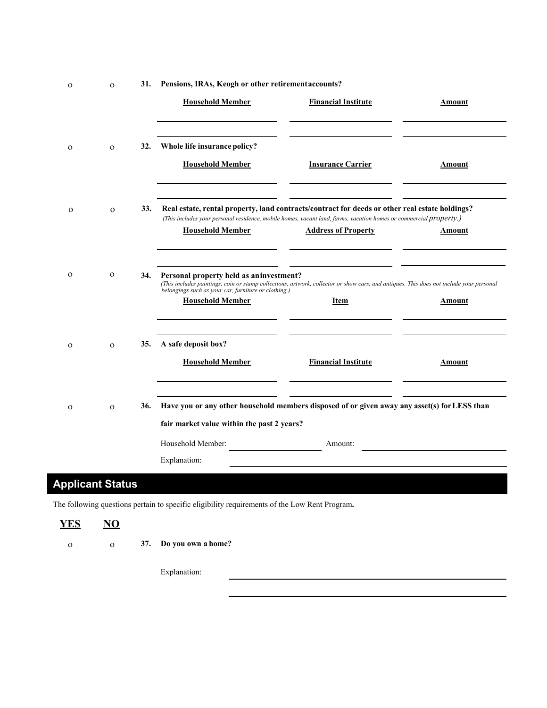| $\mathbf 0$             | $\mathbf O$            | 31. | Pensions, IRAs, Keogh or other retirement accounts?                                                                                                                                                                                                                    |                            |               |
|-------------------------|------------------------|-----|------------------------------------------------------------------------------------------------------------------------------------------------------------------------------------------------------------------------------------------------------------------------|----------------------------|---------------|
|                         |                        |     | <b>Household Member</b>                                                                                                                                                                                                                                                | <b>Financial Institute</b> | <b>Amount</b> |
| $\mathbf{O}$            | $\mathbf O$            | 32. | Whole life insurance policy?<br><b>Household Member</b>                                                                                                                                                                                                                | <b>Insurance Carrier</b>   | <b>Amount</b> |
| $\mathbf{o}$            | $\Omega$               | 33. | Real estate, rental property, land contracts/contract for deeds or other real estate holdings?<br>(This includes your personal residence, mobile homes, vacant land, farms, vacation homes or commercial property.)<br><b>Household Member</b>                         | <b>Address of Property</b> | <b>Amount</b> |
| $\mathbf{O}$            | $\mathbf{O}$           | 34. | Personal property held as an investment?<br>(This includes paintings, coin or stamp collections, artwork, collector or show cars, and antiques. This does not include your personal<br>belongings such as your car, furniture or clothing.)<br><b>Household Member</b> | <b>Item</b>                | <b>Amount</b> |
| $\mathbf{O}$            | $\Omega$               | 35. | A safe deposit box?<br><b>Household Member</b>                                                                                                                                                                                                                         | <b>Financial Institute</b> | <b>Amount</b> |
| $\mathbf{o}$            | $\Omega$               | 36. | Have you or any other household members disposed of or given away any asset(s) for LESS than<br>fair market value within the past 2 years?<br>Household Member:                                                                                                        | Amount:                    |               |
|                         |                        |     | Explanation:                                                                                                                                                                                                                                                           |                            |               |
| <b>Applicant Status</b> |                        |     |                                                                                                                                                                                                                                                                        |                            |               |
|                         |                        |     | The following questions pertain to specific eligibility requirements of the Low Rent Program.                                                                                                                                                                          |                            |               |
| <b>YES</b>              | $\overline{\text{NO}}$ |     |                                                                                                                                                                                                                                                                        |                            |               |
| $\mathbf O$             | $\mathbf O$            | 37. | Do you own a home?                                                                                                                                                                                                                                                     |                            |               |
|                         |                        |     | Explanation:                                                                                                                                                                                                                                                           |                            |               |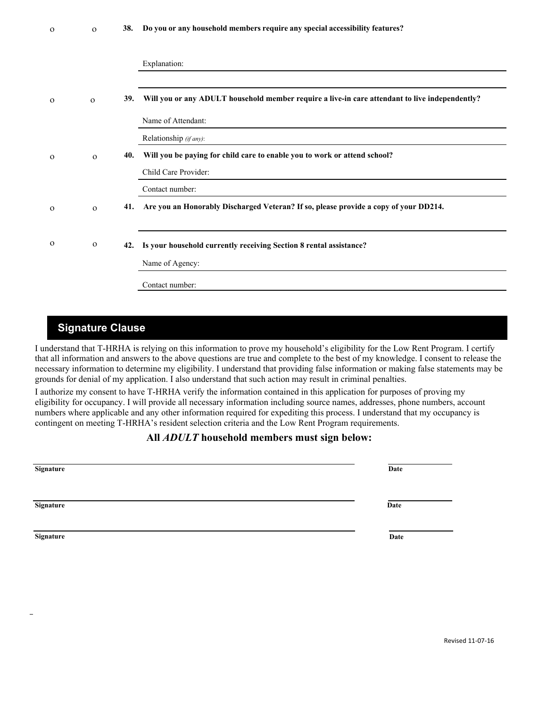|  |  |  | 38. Do you or any household members require any special accessibility features? |  |
|--|--|--|---------------------------------------------------------------------------------|--|
|--|--|--|---------------------------------------------------------------------------------|--|

|              |              |     | Explanation:                                                                                   |
|--------------|--------------|-----|------------------------------------------------------------------------------------------------|
| $\Omega$     | $\Omega$     | 39. | Will you or any ADULT household member require a live-in care attendant to live independently? |
|              |              |     | Name of Attendant:                                                                             |
|              |              |     | Relationship (if any):                                                                         |
| $\mathbf{o}$ | $\mathbf{O}$ | 40. | Will you be paying for child care to enable you to work or attend school?                      |
|              |              |     | Child Care Provider:                                                                           |
|              |              |     | Contact number:                                                                                |
| $\Omega$     | $\Omega$     | 41. | Are you an Honorably Discharged Veteran? If so, please provide a copy of your DD214.           |
|              |              |     |                                                                                                |
| $\Omega$     | $\mathbf{O}$ | 42. | Is your household currently receiving Section 8 rental assistance?                             |
|              |              |     | Name of Agency:                                                                                |
|              |              |     | Contact number:                                                                                |

### **Signature Clause**

I understand that T-HRHA is relying on this information to prove my household's eligibility for the Low Rent Program. I certify that all information and answers to the above questions are true and complete to the best of my knowledge. I consent to release the necessary information to determine my eligibility. I understand that providing false information or making false statements may be grounds for denial of my application. I also understand that such action may result in criminal penalties.

I authorize my consent to have T-HRHA verify the information contained in this application for purposes of proving my eligibility for occupancy. I will provide all necessary information including source names, addresses, phone numbers, account numbers where applicable and any other information required for expediting this process. I understand that my occupancy is contingent on meeting T-HRHA's resident selection criteria and the Low Rent Program requirements.

#### **All** *ADULT* **household members must sign below:**

| Signature | Date |
|-----------|------|
| Signature | Date |
| Signature | Date |